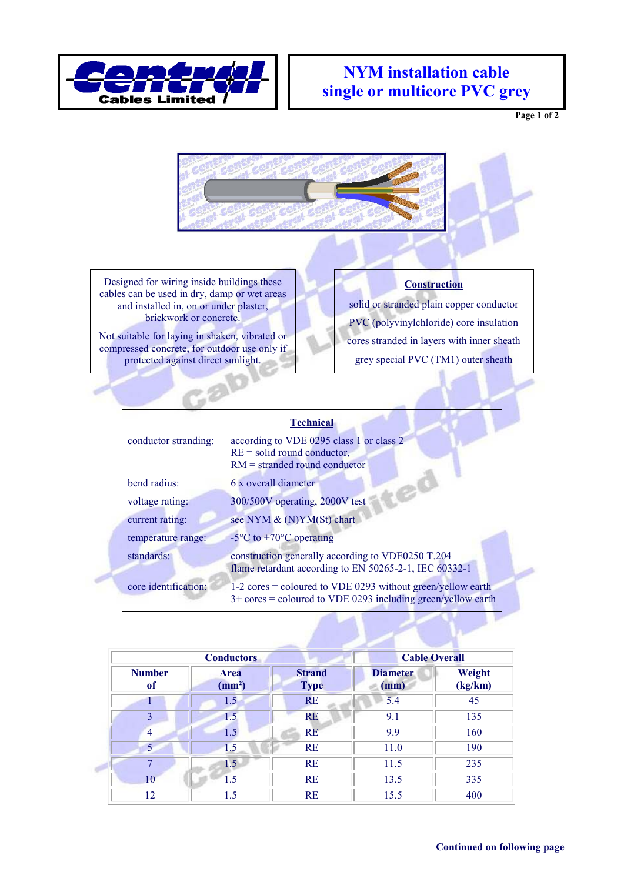

## **NYM installation cable single or multicore PVC grey**

**Page 1 of 2** 



Designed for wiring inside buildings these cables can be used in dry, damp or wet areas and installed in, on or under plaster, brickwork or concrete.

Not suitable for laying in shaken, vibrated or compressed concrete, for outdoor use only if protected against direct sunlight.

,9

## **Construction**

solid or stranded plain copper conductor PVC (polyvinylchloride) core insulation cores stranded in layers with inner sheath grey special PVC (TM1) outer sheath

## **Technical**

| conductor stranding: | according to VDE 0295 class 1 or class 2<br>$RE = solid round conductor,$<br>$RM =$ stranded round conductor                    |  |  |  |  |
|----------------------|---------------------------------------------------------------------------------------------------------------------------------|--|--|--|--|
| bend radius:         | 6 x overall diameter                                                                                                            |  |  |  |  |
| voltage rating:      | 300/500V operating, 2000V test                                                                                                  |  |  |  |  |
| current rating:      | see NYM & (N)YM(St) chart                                                                                                       |  |  |  |  |
| temperature range:   | -5 $\rm{^{\circ}C}$ to +70 $\rm{^{\circ}C}$ operating                                                                           |  |  |  |  |
| standards:           | construction generally according to VDE0250 T.204<br>flame retardant according to EN 50265-2-1, IEC 60332-1                     |  |  |  |  |
| core identification: | $1-2$ cores = coloured to VDE 0293 without green/yellow earth<br>$3+$ cores = coloured to VDE 0293 including green/yellow earth |  |  |  |  |

|                     | <b>Conductors</b>                 |                              | <b>Cable Overall</b>    |                   |
|---------------------|-----------------------------------|------------------------------|-------------------------|-------------------|
| <b>Number</b><br>of | <b>Area</b><br>(mm <sup>2</sup> ) | <b>Strand</b><br><b>Type</b> | <b>Diameter</b><br>(mm) | Weight<br>(kg/km) |
|                     | 1.5                               | <b>RE</b>                    | 5.4                     | 45                |
| 3                   | 1.5                               | <b>RE</b>                    | 9.1                     | 135               |
| $\overline{4}$      | 1.5                               | <b>RE</b>                    | 9.9                     | 160               |
| 5 <sup>1</sup>      | 1.5                               | <b>RE</b>                    | 11.0                    | 190               |
| 7                   | 1.5                               | <b>RE</b>                    | 11.5                    | 235               |
| 10                  | 1.5                               | <b>RE</b>                    | 13.5                    | 335               |
| 12                  | 1.5                               | <b>RE</b>                    | 15.5                    | 400               |